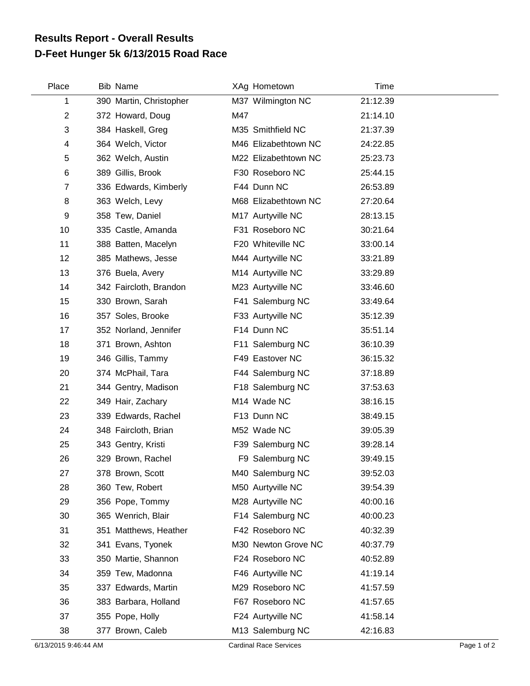## **D-Feet Hunger 5k 6/13/2015 Road Race Results Report - Overall Results**

| Place          | <b>Bib Name</b>         | XAg Hometown         | Time     |  |
|----------------|-------------------------|----------------------|----------|--|
| 1              | 390 Martin, Christopher | M37 Wilmington NC    | 21:12.39 |  |
| $\overline{2}$ | 372 Howard, Doug        | M47                  | 21:14.10 |  |
| 3              | 384 Haskell, Greg       | M35 Smithfield NC    | 21:37.39 |  |
| 4              | 364 Welch, Victor       | M46 Elizabethtown NC | 24:22.85 |  |
| 5              | 362 Welch, Austin       | M22 Elizabethtown NC | 25:23.73 |  |
| 6              | 389 Gillis, Brook       | F30 Roseboro NC      | 25:44.15 |  |
| $\overline{7}$ | 336 Edwards, Kimberly   | F44 Dunn NC          | 26:53.89 |  |
| 8              | 363 Welch, Levy         | M68 Elizabethtown NC | 27:20.64 |  |
| 9              | 358 Tew, Daniel         | M17 Aurtyville NC    | 28:13.15 |  |
| 10             | 335 Castle, Amanda      | F31 Roseboro NC      | 30:21.64 |  |
| 11             | 388 Batten, Macelyn     | F20 Whiteville NC    | 33:00.14 |  |
| 12             | 385 Mathews, Jesse      | M44 Aurtyville NC    | 33:21.89 |  |
| 13             | 376 Buela, Avery        | M14 Aurtyville NC    | 33:29.89 |  |
| 14             | 342 Faircloth, Brandon  | M23 Aurtyville NC    | 33:46.60 |  |
| 15             | 330 Brown, Sarah        | F41 Salemburg NC     | 33:49.64 |  |
| 16             | 357 Soles, Brooke       | F33 Aurtyville NC    | 35:12.39 |  |
| 17             | 352 Norland, Jennifer   | F14 Dunn NC          | 35:51.14 |  |
| 18             | 371 Brown, Ashton       | F11 Salemburg NC     | 36:10.39 |  |
| 19             | 346 Gillis, Tammy       | F49 Eastover NC      | 36:15.32 |  |
| 20             | 374 McPhail, Tara       | F44 Salemburg NC     | 37:18.89 |  |
| 21             | 344 Gentry, Madison     | F18 Salemburg NC     | 37:53.63 |  |
| 22             | 349 Hair, Zachary       | M14 Wade NC          | 38:16.15 |  |
| 23             | 339 Edwards, Rachel     | F13 Dunn NC          | 38:49.15 |  |
| 24             | 348 Faircloth, Brian    | M52 Wade NC          | 39:05.39 |  |
| 25             | 343 Gentry, Kristi      | F39 Salemburg NC     | 39:28.14 |  |
| 26             | 329 Brown, Rachel       | F9 Salemburg NC      | 39:49.15 |  |
| 27             | 378 Brown, Scott        | M40 Salemburg NC     | 39:52.03 |  |
| 28             | 360 Tew, Robert         | M50 Aurtyville NC    | 39:54.39 |  |
| 29             | 356 Pope, Tommy         | M28 Aurtyville NC    | 40:00.16 |  |
| 30             | 365 Wenrich, Blair      | F14 Salemburg NC     | 40:00.23 |  |
| 31             | 351 Matthews, Heather   | F42 Roseboro NC      | 40:32.39 |  |
| 32             | 341 Evans, Tyonek       | M30 Newton Grove NC  | 40:37.79 |  |
| 33             | 350 Martie, Shannon     | F24 Roseboro NC      | 40:52.89 |  |
| 34             | 359 Tew, Madonna        | F46 Aurtyville NC    | 41:19.14 |  |
| 35             | 337 Edwards, Martin     | M29 Roseboro NC      | 41:57.59 |  |
| 36             | 383 Barbara, Holland    | F67 Roseboro NC      | 41:57.65 |  |
| 37             | 355 Pope, Holly         | F24 Aurtyville NC    | 41:58.14 |  |
| 38             | 377 Brown, Caleb        | M13 Salemburg NC     | 42:16.83 |  |